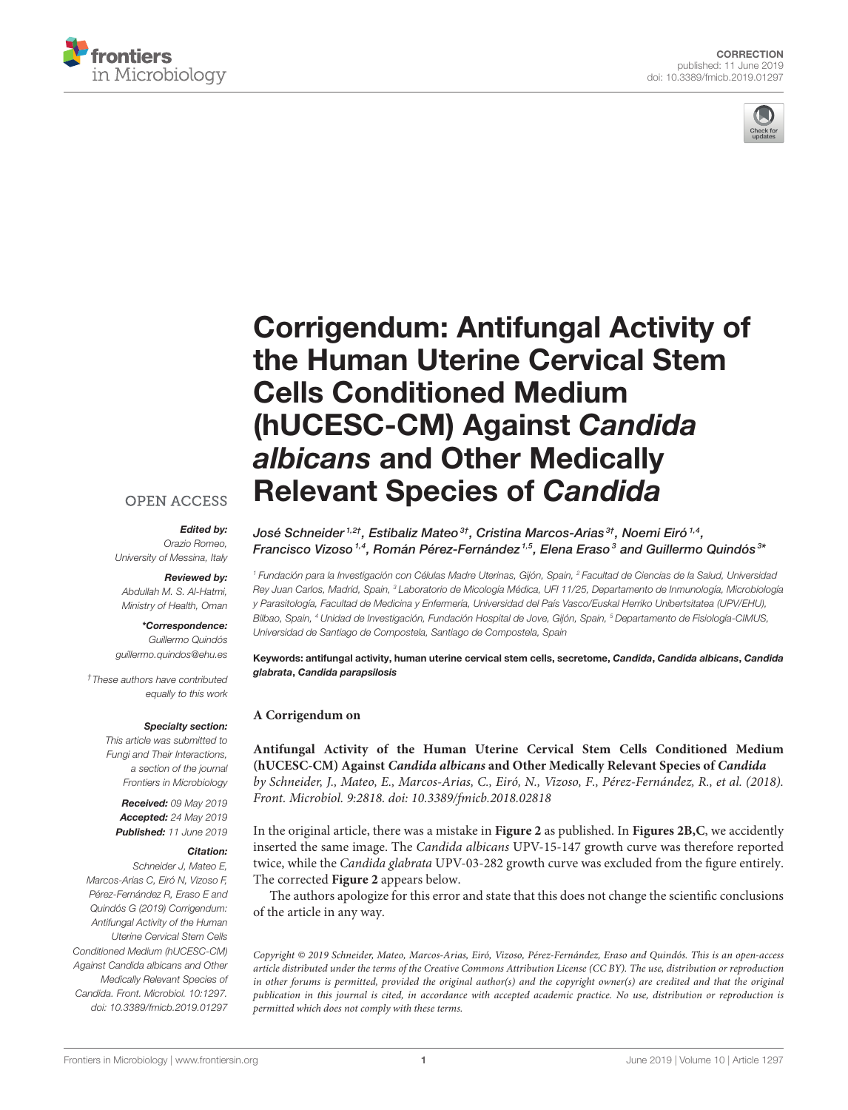



# [Corrigendum: Antifungal Activity of](https://www.frontiersin.org/articles/10.3389/fmicb.2019.01297/full) the Human Uterine Cervical Stem Cells Conditioned Medium (hUCESC-CM) Against Candida albicans and Other Medically Relevant Species of Candida

## José Schneider 1,2†, [Estibaliz Mateo](http://loop.frontiersin.org/people/580975/overview) 3†, Cristina Marcos-Arias 3†, Noemi Eiró 1,4, Francisco Vizoso $^{1,4}$ , Román Pérez-Fernández $^{1,5}$ , [Elena Eraso](http://loop.frontiersin.org/people/640614/overview) $^3$  and [Guillermo Quindós](http://loop.frontiersin.org/people/392030/overview) $^{3\epsilon}$

<sup>1</sup> Fundación para la Investigación con Células Madre Uterinas, Gijón, Spain, <sup>2</sup> Facultad de Ciencias de la Salud, Universidad Rey Juan Carlos, Madrid, Spain, <sup>3</sup> Laboratorio de Micología Médica, UFI 11/25, Departamento de Inmunología, Microbiología y Parasitología, Facultad de Medicina y Enfermería, Universidad del País Vasco/Euskal Herriko Unibertsitatea (UPV/EHU), Bilbao, Spain, <sup>4</sup> Unidad de Investigación, Fundación Hospital de Jove, Gijón, Spain, <sup>5</sup> Departamento de Fisiología-CIMUS, Universidad de Santiago de Compostela, Santiago de Compostela, Spain

Keywords: antifungal activity, human uterine cervical stem cells, secretome, Candida, Candida albicans, Candida glabrata, Candida parapsilosis

### **A Corrigendum on**

**[Antifungal Activity of the Human Uterine Cervical Stem Cells Conditioned Medium](https://doi.org/10.3389/fmicb.2018.02818) (hUCESC-CM) Against Candida albicans and Other Medically Relevant Species of Candida** by Schneider, J., Mateo, E., Marcos-Arias, C., Eiró, N., Vizoso, F., Pérez-Fernández, R., et al. (2018). Front. Microbiol. 9:2818. doi: [10.3389/fmicb.2018.02818](https://doi.org/10.3389/fmicb.2018.02818)

In the original article, there was a mistake in **[Figure 2](#page-1-0)** as published. In **[Figures 2B,C](#page-1-0)**, we accidently inserted the same image. The Candida albicans UPV-15-147 growth curve was therefore reported twice, while the Candida glabrata UPV-03-282 growth curve was excluded from the figure entirely. The corrected **[Figure 2](#page-1-0)** appears below.

The authors apologize for this error and state that this does not change the scientific conclusions of the article in any way.

Copyright © 2019 Schneider, Mateo, Marcos-Arias, Eiró, Vizoso, Pérez-Fernández, Eraso and Quindós. This is an open-access article distributed under the terms of the [Creative Commons](http://creativecommons.org/licenses/by/4.0/) [Attribution License \(CC BY\).](http://creativecommons.org/licenses/by/4.0/) The use, distribution or reproduction in other forums is permitted, provided the original author(s) and the copyright owner(s) are credited and that the original publication in this journal is cited, in accordance with accepted academic practice. No use, distribution or reproduction is permitted which does not comply with these terms.

# **OPEN ACCESS**

#### Edited by:

Orazio Romeo, University of Messina, Italy

#### Reviewed by:

Abdullah M. S. Al-Hatmi, Ministry of Health, Oman

# \*Correspondence:

Guillermo Quindós [guillermo.quindos@ehu.es](mailto:guillermo.quindos@ehu.es)

†These authors have contributed equally to this work

#### Specialty section:

This article was submitted to Fungi and Their Interactions, a section of the journal Frontiers in Microbiology

Received: 09 May 2019 Accepted: 24 May 2019 Published: 11 June 2019

#### Citation:

Schneider J, Mateo E, Marcos-Arias C, Eiró N, Vizoso F, Pérez-Fernández R, Eraso E and Quindós G (2019) Corrigendum: Antifungal Activity of the Human Uterine Cervical Stem Cells Conditioned Medium (hUCESC-CM) Against Candida albicans and Other Medically Relevant Species of Candida. Front. Microbiol. 10:1297. doi: [10.3389/fmicb.2019.01297](https://doi.org/10.3389/fmicb.2019.01297)